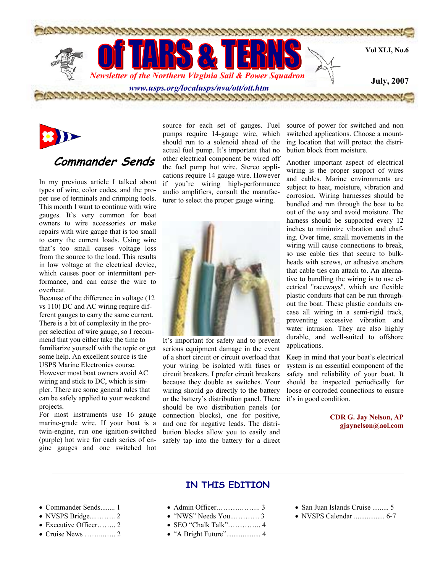



# **Commander Sends**

In my previous article I talked about types of wire, color codes, and the proper use of terminals and crimping tools. This month I want to continue with wire gauges. It's very common for boat owners to wire accessories or make repairs with wire gauge that is too small to carry the current loads. Using wire that's too small causes voltage loss from the source to the load. This results in low voltage at the electrical device, which causes poor or intermittent performance, and can cause the wire to overheat.

Because of the difference in voltage (12 vs 110) DC and AC wiring require different gauges to carry the same current. There is a bit of complexity in the proper selection of wire gauge, so I recommend that you either take the time to familiarize yourself with the topic or get some help. An excellent source is the USPS Marine Electronics course. However most boat owners avoid AC wiring and stick to DC, which is simpler. There are some general rules that can be safely applied to your weekend projects.

For most instruments use 16 gauge marine-grade wire. If your boat is a twin-engine, run one ignition-switched (purple) hot wire for each series of engine gauges and one switched hot

source for each set of gauges. Fuel pumps require 14-gauge wire, which should run to a solenoid ahead of the actual fuel pump. It's important that no other electrical component be wired off the fuel pump hot wire. Stereo applications require 14 gauge wire. However if you're wiring high-performance audio amplifiers, consult the manufacturer to select the proper gauge wiring.



It's important for safety and to prevent serious equipment damage in the event of a short circuit or circuit overload that your wiring be isolated with fuses or circuit breakers. I prefer circuit breakers because they double as switches. Your wiring should go directly to the battery or the battery's distribution panel. There should be two distribution panels (or connection blocks), one for positive, and one for negative leads. The distribution blocks allow you to easily and safely tap into the battery for a direct

source of power for switched and non switched applications. Choose a mounting location that will protect the distribution block from moisture.

Another important aspect of electrical wiring is the proper support of wires and cables. Marine environments are subject to heat, moisture, vibration and corrosion. Wiring harnesses should be bundled and run through the boat to be out of the way and avoid moisture. The harness should be supported every 12 inches to minimize vibration and chafing. Over time, small movements in the wiring will cause connections to break, so use cable ties that secure to bulkheads with screws, or adhesive anchors that cable ties can attach to. An alternative to bundling the wiring is to use electrical "raceways", which are flexible plastic conduits that can be run throughout the boat. These plastic conduits encase all wiring in a semi-rigid track, preventing excessive vibration and water intrusion. They are also highly durable, and well-suited to offshore applications.

Keep in mind that your boat's electrical system is an essential component of the safety and reliability of your boat. It should be inspected periodically for loose or corroded connections to ensure it's in good condition.

> **CDR G. Jay Nelson, AP gjaynelson@aol.com**

## **IN THIS EDITION**

- Commander Sends........ 1
- NVSPS Bridge....…….. 2
- Executive Officer…….. 2
- Cruise News ……...….. 2
- Admin Officer.……….…….. 3
- "NWS" Needs You...………. 3
- SEO "Chalk Talk"………….. 4
- "A Bright Future"................... 4
- San Juan Islands Cruise ......... 5
- NVSPS Calendar ................. 6-7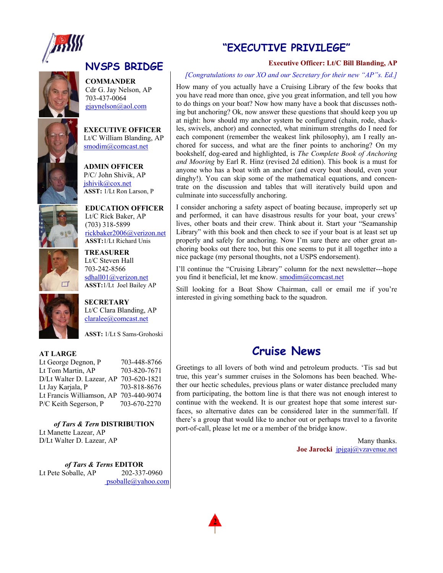

**COMMANDER**  Cdr G. Jay Nelson, AP 703-437-0064 gjaynelson@aol.com

**EXECUTIVE OFFICER**  Lt/C William Blanding, AP smodim@comcast.net

**ADMIN OFFICER**  P/C/ John Shivik, AP jshivik@cox.net **ASST:** 1/Lt Ron Larson, P



 $\Box$ 

**EDUCATION OFFICER**  Lt/C Rick Baker, AP (703) 318-5899 rickbaker2006@verizon.net **ASST:**1/Lt Richard Unis

**TREASURER** Lt/C Steven Hall 703-242-8566 sdhall01@verizon.net  **ASST:**1/Lt Joel Bailey AP

**SECRETARY** 

Lt/C Clara Blanding, AP claralee@comcast.net

**ASST:** 1/Lt S Sams-Grohoski

## **AT LARGE**

Lt George Degnon, P 703-448-8766 Lt Tom Martin, AP 703-820-7671 D/Lt Walter D. Lazear, AP 703-620-1821 Lt Jay Karjala, P 703-818-8676 Lt Francis Williamson, AP 703-440-9074 P/C Keith Segerson, P 703-670-2270

*of Tars & Tern* **DISTRIBUTION**  Lt Manette Lazear, AP D/Lt Walter D. Lazear, AP

*of Tars & Terns* **EDITOR**  Lt Pete Soballe, AP 202-337-0960 psoballe@yahoo.com

## **"EXECUTIVE PRIVILEGE"**

## **Executive Officer: Lt/C Bill Blanding, AP**

### *[Congratulations to our XO and our Secretary for their new "AP"s. Ed.]*

How many of you actually have a Cruising Library of the few books that you have read more than once, give you great information, and tell you how to do things on your boat? Now how many have a book that discusses nothing but anchoring? Ok, now answer these questions that should keep you up at night: how should my anchor system be configured (chain, rode, shackles, swivels, anchor) and connected, what minimum strengths do I need for each component (remember the weakest link philosophy), am I really anchored for success, and what are the finer points to anchoring? On my bookshelf, dog-eared and highlighted, is *The Complete Book of Anchoring and Mooring* by Earl R. Hinz (revised 2d edition). This book is a must for anyone who has a boat with an anchor (and every boat should, even your dinghy!). You can skip some of the mathematical equations, and concentrate on the discussion and tables that will iteratively build upon and culminate into successfully anchoring.

I consider anchoring a safety aspect of boating because, improperly set up and performed, it can have disastrous results for your boat, your crews' lives, other boats and their crew. Think about it. Start your "Seamanship Library" with this book and then check to see if your boat is at least set up properly and safely for anchoring. Now I'm sure there are other great anchoring books out there too, but this one seems to put it all together into a nice package (my personal thoughts, not a USPS endorsement).

I'll continue the "Cruising Library" column for the next newsletter---hope you find it beneficial, let me know. smodim@comcast.net

Still looking for a Boat Show Chairman, call or email me if you're interested in giving something back to the squadron.

## **Cruise News**

Greetings to all lovers of both wind and petroleum products. 'Tis sad but true, this year's summer cruises in the Solomons has been beached. Whether our hectic schedules, previous plans or water distance precluded many from participating, the bottom line is that there was not enough interest to continue with the weekend. It is our greatest hope that some interest surfaces, so alternative dates can be considered later in the summer/fall. If there's a group that would like to anchor out or perhaps travel to a favorite port-of-call, please let me or a member of the bridge know.

> Many thanks. **Joe Jarocki** jpjgaj@vzavenue.net

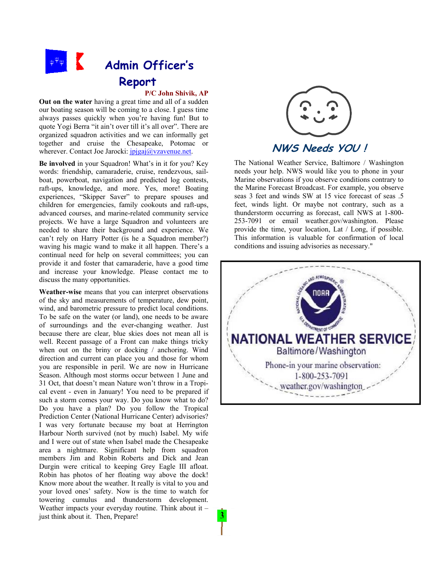

#### **P/C John Shivik, AP**

**Out on the water** having a great time and all of a sudden our boating season will be coming to a close. I guess time always passes quickly when you're having fun! But to quote Yogi Berra "it ain't over till it's all over". There are organized squadron activities and we can informally get together and cruise the Chesapeake, Potomac or wherever. Contact Joe Jarocki: *jpjgaj@yzavenue.net.* 

**Be involved** in your Squadron! What's in it for you? Key words: friendship, camaraderie, cruise, rendezvous, sailboat, powerboat, navigation and predicted log contests, raft-ups, knowledge, and more. Yes, more! Boating experiences, "Skipper Saver" to prepare spouses and children for emergencies, family cookouts and raft-ups, advanced courses, and marine-related community service projects. We have a large Squadron and volunteers are needed to share their background and experience. We can't rely on Harry Potter (is he a Squadron member?) waving his magic wand to make it all happen. There's a continual need for help on several committees; you can provide it and foster that camaraderie, have a good time and increase your knowledge. Please contact me to discuss the many opportunities.

**Weather-wise** means that you can interpret observations of the sky and measurements of temperature, dew point, wind, and barometric pressure to predict local conditions. To be safe on the water (or land), one needs to be aware of surroundings and the ever-changing weather. Just because there are clear, blue skies does not mean all is well. Recent passage of a Front can make things tricky when out on the briny or docking / anchoring. Wind direction and current can place you and those for whom you are responsible in peril. We are now in Hurricane Season. Although most storms occur between 1 June and 31 Oct, that doesn't mean Nature won't throw in a Tropical event - even in January! You need to be prepared if such a storm comes your way. Do you know what to do? Do you have a plan? Do you follow the Tropical Prediction Center (National Hurricane Center) advisories? I was very fortunate because my boat at Herrington Harbour North survived (not by much) Isabel. My wife and I were out of state when Isabel made the Chesapeake area a nightmare. Significant help from squadron members Jim and Robin Roberts and Dick and Jean Durgin were critical to keeping Grey Eagle III afloat. Robin has photos of her floating way above the dock! Know more about the weather. It really is vital to you and your loved ones' safety. Now is the time to watch for towering cumulus and thunderstorm development. Weather impacts your everyday routine. Think about it – just think about it. Then, Prepare!



## **NWS Needs YOU !**

The National Weather Service, Baltimore / Washington needs your help. NWS would like you to phone in your Marine observations if you observe conditions contrary to the Marine Forecast Broadcast. For example, you observe seas 3 feet and winds SW at 15 vice forecast of seas .5 feet, winds light. Or maybe not contrary, such as a thunderstorm occurring as forecast, call NWS at 1-800- 253-7091 or email weather.gov/washington. Please provide the time, your location, Lat / Long, if possible. This information is valuable for confirmation of local conditions and issuing advisories as necessary."

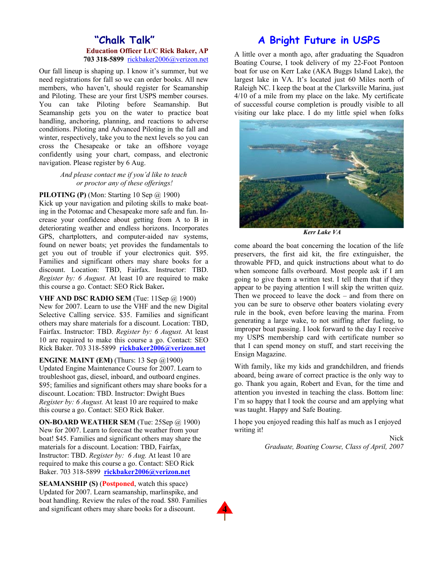## **"Chalk Talk" Education Officer Lt/C Rick Baker, AP 703 318-5899** rickbaker2006@verizon.net

Our fall lineup is shaping up. I know it's summer, but we need registrations for fall so we can order books. All new members, who haven't, should register for Seamanship and Piloting. These are your first USPS member courses. You can take Pilotin*g* before Seamanship. But Seamanship gets you on the water to practice boat handling, anchoring, planning, and reactions to adverse conditions. Piloting and Advanced Piloting in the fall and winter, respectively, take you to the next levels so you can cross the Chesapeake or take an offshore voyage confidently using your chart, compass, and electronic navigation. Please register by 6 Aug.

#### *And please contact me if you'd like to teach or proctor any of these offerings!*

#### **PILOTING (P)** (Mon: Starting 10 Sep @ 1900)

Kick up your navigation and piloting skills to make boating in the Potomac and Chesapeake more safe and fun. Increase your confidence about getting from A to B in deteriorating weather and endless horizons. Incorporates GPS, chartplotters, and computer-aided nav systems, found on newer boats; yet provides the fundamentals to get you out of trouble if your electronics quit. \$95. Families and significant others may share books for a discount. Location: TBD, Fairfax. Instructor: TBD. *Register by: 6 August.* At least 10 are required to make this course a go. Contact: SEO Rick Baker**.**

**VHF AND DSC RADIO SEM** (Tue: 11Sep @ 1900) New for 2007. Learn to use the VHF and the new Digital Selective Calling service. \$35. Families and significant others may share materials for a discount. Location: TBD, Fairfax. Instructor: TBD. *Register by: 6 August.* At least 10 are required to make this course a go. Contact: SEO Rick Baker. 703 318-5899 **rickbaker2006@verizon.net**

**ENGINE MAINT (EM)** (Thurs: 13 Sep @1900) Updated Engine Maintenance Course for 2007. Learn to troubleshoot gas, diesel, inboard, and outboard engines. \$95; families and significant others may share books for a discount. Location: TBD. Instructor: Dwight Bues *Register by: 6 August.* At least 10 are required to make this course a go. Contact: SEO Rick Baker.

**ON-BOARD WEATHER SEM** (Tue: 25Sep @ 1900) New for 2007. Learn to forecast the weather from your boat! \$45. Families and significant others may share the materials for a discount. Location: TBD, Fairfax. Instructor: TBD. *Register by: 6 Aug.* At least 10 are required to make this course a go. Contact: SEO Rick Baker. 703 318-5899 **rickbaker2006@verizon.net**

**SEAMANSHIP (S)** (**Postponed**, watch this space) Updated for 2007. Learn seamanship, marlinspike, and boat handling. Review the rules of the road. \$80. Families and significant others may share books for a discount.

## **A Bright Future in USPS**

A little over a month ago, after graduating the Squadron Boating Course, I took delivery of my 22-Foot Pontoon boat for use on Kerr Lake (AKA Buggs Island Lake), the largest lake in VA. It's located just 60 Miles north of Raleigh NC. I keep the boat at the Clarksville Marina, just 4/10 of a mile from my place on the lake. My certificate of successful course completion is proudly visible to all visiting our lake place. I do my little spiel when folks



*Kerr Lake VA* 

come aboard the boat concerning the location of the life preservers, the first aid kit, the fire extinguisher, the throwable PFD, and quick instructions about what to do when someone falls overboard. Most people ask if I am going to give them a written test. I tell them that if they appear to be paying attention I will skip the written quiz. Then we proceed to leave the dock – and from there on you can be sure to observe other boaters violating every rule in the book, even before leaving the marina. From generating a large wake, to not sniffing after fueling, to improper boat passing. I look forward to the day I receive my USPS membership card with certificate number so that I can spend money on stuff, and start receiving the Ensign Magazine.

With family, like my kids and grandchildren, and friends aboard, being aware of correct practice is the only way to go. Thank you again, Robert and Evan, for the time and attention you invested in teaching the class. Bottom line: I'm so happy that I took the course and am applying what was taught. Happy and Safe Boating.

I hope you enjoyed reading this half as much as I enjoyed writing it!

> Nick *Graduate, Boating Course, Class of April, 2007*

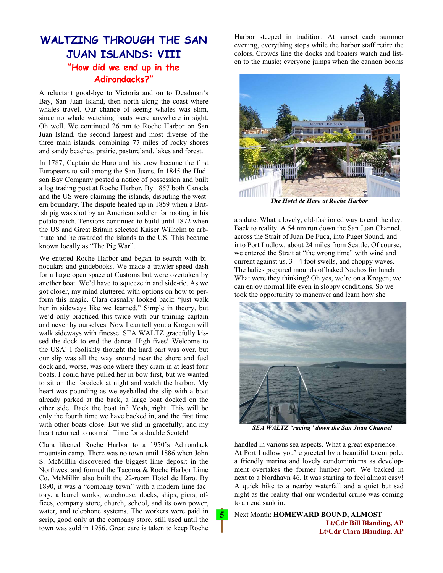## **WALTZING THROUGH THE SAN JUAN ISLANDS: VIII "How did we end up in the Adirondacks?"**

A reluctant good-bye to Victoria and on to Deadman's Bay, San Juan Island, then north along the coast where whales travel. Our chance of seeing whales was slim, since no whale watching boats were anywhere in sight. Oh well. We continued 26 nm to Roche Harbor on San Juan Island, the second largest and most diverse of the three main islands, combining 77 miles of rocky shores and sandy beaches, prairie, pastureland, lakes and forest.

In 1787, Captain de Haro and his crew became the first Europeans to sail among the San Juans. In 1845 the Hudson Bay Company posted a notice of possession and built a log trading post at Roche Harbor. By 1857 both Canada and the US were claiming the islands, disputing the western boundary. The dispute heated up in 1859 when a British pig was shot by an American soldier for rooting in his potato patch. Tensions continued to build until 1872 when the US and Great Britain selected Kaiser Wilhelm to arbitrate and he awarded the islands to the US. This became known locally as "The Pig War".

We entered Roche Harbor and began to search with binoculars and guidebooks. We made a trawler-speed dash for a large open space at Customs but were overtaken by another boat. We'd have to squeeze in and side-tie. As we got closer, my mind cluttered with options on how to perform this magic. Clara casually looked back: "just walk her in sideways like we learned." Simple in theory, but we'd only practiced this twice with our training captain and never by ourselves. Now I can tell you: a Krogen will walk sideways with finesse. SEA WALTZ gracefully kissed the dock to end the dance. High-fives! Welcome to the USA! I foolishly thought the hard part was over, but our slip was all the way around near the shore and fuel dock and, worse, was one where they cram in at least four boats. I could have pulled her in bow first, but we wanted to sit on the foredeck at night and watch the harbor. My heart was pounding as we eyeballed the slip with a boat already parked at the back, a large boat docked on the other side. Back the boat in? Yeah, right. This will be only the fourth time we have backed in, and the first time with other boats close. But we slid in gracefully, and my heart returned to normal. Time for a double Scotch!

Clara likened Roche Harbor to a 1950's Adirondack mountain camp. There was no town until 1886 when John S. McMillin discovered the biggest lime deposit in the Northwest and formed the Tacoma & Roche Harbor Lime Co. McMillin also built the 22-room Hotel de Haro. By 1890, it was a "company town" with a modern lime factory, a barrel works, warehouse, docks, ships, piers, offices, company store, church, school, and its own power, water, and telephone systems. The workers were paid in scrip, good only at the company store, still used until the town was sold in 1956. Great care is taken to keep Roche

Harbor steeped in tradition. At sunset each summer evening, everything stops while the harbor staff retire the colors. Crowds line the docks and boaters watch and listen to the music; everyone jumps when the cannon booms



*The Hotel de Haro at Roche Harbor* 

a salute. What a lovely, old-fashioned way to end the day. Back to reality. A 54 nm run down the San Juan Channel, across the Strait of Juan De Fuca, into Puget Sound, and into Port Ludlow, about 24 miles from Seattle. Of course, we entered the Strait at "the wrong time" with wind and current against us, 3 - 4 foot swells, and choppy waves. The ladies prepared mounds of baked Nachos for lunch What were they thinking? Oh yes, we're on a Krogen; we can enjoy normal life even in sloppy conditions. So we took the opportunity to maneuver and learn how she



*SEA WALTZ "racing" down the San Juan Channel* 

handled in various sea aspects. What a great experience. At Port Ludlow you're greeted by a beautiful totem pole, a friendly marina and lovely condominiums as development overtakes the former lumber port. We backed in next to a Nordhavn 46. It was starting to feel almost easy! A quick hike to a nearby waterfall and a quiet but sad night as the reality that our wonderful cruise was coming to an end sank in.

Next Month: **HOMEWARD BOUND, ALMOST Lt/Cdr Bill Blanding, AP Lt/Cdr Clara Blanding, AP** 

 $\overline{5}$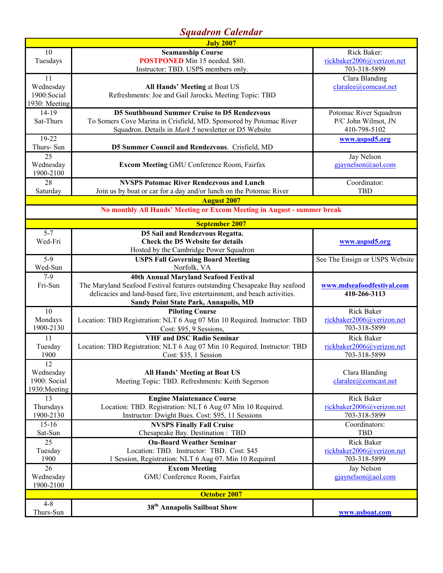# *Squadron Calendar*

| <b>July 2007</b>                           |                                                                           |                                |  |
|--------------------------------------------|---------------------------------------------------------------------------|--------------------------------|--|
| 10                                         | <b>Seamanship Course</b>                                                  | Rick Baker:                    |  |
| Tuesdays                                   | <b>POSTPONED</b> Min 15 needed. \$80.                                     | rickbaker2006@verizon.net      |  |
|                                            | Instructor: TBD. USPS members only.                                       | 703-318-5899                   |  |
| 11                                         |                                                                           | Clara Blanding                 |  |
| Wednesday                                  | All Hands' Meeting at Boat US                                             | claralee@comcast.net           |  |
| 1900:Social                                | Refreshments: Joe and Gail Jarocki. Meeting Topic: TBD                    |                                |  |
| 1930: Meeting                              |                                                                           |                                |  |
| 14-19                                      | <b>D5 Southbound Summer Cruise to D5 Rendezvous</b>                       | Potomac River Squadron         |  |
| Sat-Thurs                                  | To Somers Cove Marina in Crisfield, MD. Sponsored by Potomac River        | P/C John Wilmot, JN            |  |
|                                            | Squadron. Details in Mark 5 newsletter or D5 Website                      | 410-798-5102                   |  |
| $19 - 22$                                  |                                                                           | www.uspsd5.org                 |  |
| Thurs- Sun                                 | D5 Summer Council and Rendezvous. Crisfield, MD                           |                                |  |
| 25                                         |                                                                           | Jay Nelson                     |  |
| Wednesday                                  | <b>Excom Meeting GMU Conference Room, Fairfax</b>                         | gjaynelson@aol.com             |  |
| 1900-2100                                  |                                                                           |                                |  |
| 28                                         | <b>NVSPS Potomac River Rendezvous and Lunch</b>                           | Coordinator:                   |  |
| Saturday                                   | Join us by boat or car for a day and/or lunch on the Potomac River        | <b>TBD</b>                     |  |
|                                            | <b>August 2007</b>                                                        |                                |  |
|                                            | No monthly All Hands' Meeting or Excom Meeting in August - summer break   |                                |  |
|                                            | <b>September 2007</b>                                                     |                                |  |
| $5 - 7$<br>D5 Sail and Rendezvous Regatta. |                                                                           |                                |  |
| Wed-Fri                                    | <b>Check the D5 Website for details</b>                                   | www.uspsd5.org                 |  |
|                                            | Hosted by the Cambridge Power Squadron                                    |                                |  |
| $5-9$                                      | <b>USPS Fall Governing Board Meeting</b>                                  | See The Ensign or USPS Website |  |
| Wed-Sun                                    | Norfolk, VA                                                               |                                |  |
| $7-9$                                      | 40th Annual Maryland Seafood Festival                                     |                                |  |
| Fri-Sun                                    | The Maryland Seafood Festival features outstanding Chesapeake Bay seafood | www.mdseafoodfestival.com      |  |
|                                            | delicacies and land-based fare, live entertainment, and beach activities. | 410-266-3113                   |  |
|                                            | <b>Sandy Point State Park, Annapolis, MD</b>                              |                                |  |
| 10                                         | <b>Piloting Course</b>                                                    | <b>Rick Baker</b>              |  |
| Mondays                                    | Location: TBD Registration: NLT 6 Aug 07 Min 10 Required. Instructor: TBD | rickbaker2006@verizon.net      |  |
| 1900-2130                                  | Cost: \$95, 9 Sessions,                                                   | 703-318-5899                   |  |
| 11                                         | <b>VHF and DSC Radio Seminar</b>                                          | <b>Rick Baker</b>              |  |
| Tuesday                                    | Location: TBD Registration: NLT 6 Aug 07 Min 10 Required. Instructor: TBD | rickbaker2006@verizon.net      |  |
| 1900                                       | Cost: \$35, 1 Session                                                     | 703-318-5899                   |  |
| 12                                         |                                                                           |                                |  |
| Wednesday                                  | All Hands' Meeting at Boat US                                             | Clara Blanding                 |  |
| 1900: Social                               | Meeting Topic: TBD. Refreshments: Keith Segerson                          | claralee@comcast.net           |  |
| 1930: Meeting                              |                                                                           |                                |  |
| 13                                         | <b>Engine Maintenance Course</b>                                          | <b>Rick Baker</b>              |  |
| Thursdays                                  | Location: TBD. Registration: NLT 6 Aug 07 Min 10 Required.                | rickbaker2006@verizon.net      |  |
| 1900-2130                                  | Instructor: Dwight Bues. Cost: \$95, 11 Sessions                          | 703-318-5899                   |  |
| $15 - 16$                                  | <b>NVSPS Finally Fall Cruise</b>                                          | Coordinators:                  |  |
| Sat-Sun                                    | Chesapeake Bay. Destination: TBD                                          | <b>TBD</b>                     |  |
| 25                                         | <b>On-Board Weather Seminar</b>                                           | <b>Rick Baker</b>              |  |
| Tuesday                                    | Location: TBD. Instructor: TBD. Cost: \$45                                | rickbaker2006@verizon.net      |  |
| 1900                                       | 1 Session, Registration: NLT 6 Aug 07. Min 10 Required                    | 703-318-5899                   |  |
| 26                                         | <b>Excom Meeting</b>                                                      | Jay Nelson                     |  |
| Wednesday                                  | GMU Conference Room, Fairfax                                              | gjaynelson@aol.com             |  |
| 1900-2100                                  |                                                                           |                                |  |
| <b>October 2007</b>                        |                                                                           |                                |  |
| $4 - 8$                                    | 38 <sup>th</sup> Annapolis Sailboat Show                                  |                                |  |
| Thurs-Sun                                  |                                                                           | www.usboat.com                 |  |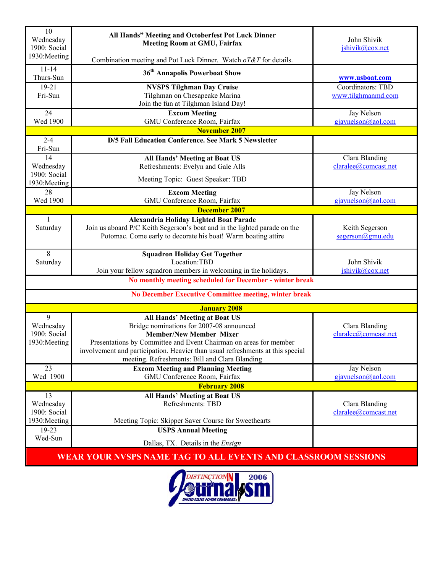| 10<br>Wednesday<br>1900: Social                               | All Hands" Meeting and Octoberfest Pot Luck Dinner<br><b>Meeting Room at GMU, Fairfax</b>                                                  | John Shivik<br>jshivik@cox.net     |  |
|---------------------------------------------------------------|--------------------------------------------------------------------------------------------------------------------------------------------|------------------------------------|--|
| 1930: Meeting                                                 | Combination meeting and Pot Luck Dinner. Watch oT&T for details.                                                                           |                                    |  |
| $11 - 14$<br>Thurs-Sun                                        | 36 <sup>th</sup> Annapolis Powerboat Show                                                                                                  | www.usboat.com                     |  |
| 19-21                                                         | <b>NVSPS Tilghman Day Cruise</b>                                                                                                           | Coordinators: TBD                  |  |
| Fri-Sun                                                       | Tilghman on Chesapeake Marina<br>Join the fun at Tilghman Island Day!                                                                      | www.tilghmanmd.com                 |  |
| 24                                                            | <b>Excom Meeting</b>                                                                                                                       | Jay Nelson                         |  |
| Wed 1900                                                      | GMU Conference Room, Fairfax                                                                                                               | gjaynelson@aol.com                 |  |
| <b>November 2007</b>                                          |                                                                                                                                            |                                    |  |
| $2 - 4$<br>Fri-Sun                                            | D/5 Fall Education Conference. See Mark 5 Newsletter                                                                                       |                                    |  |
| 14                                                            | All Hands' Meeting at Boat US                                                                                                              | Clara Blanding                     |  |
| Wednesday                                                     | Refreshments: Evelyn and Gale Alls                                                                                                         | claralee@comcast.net               |  |
| 1900: Social<br>1930: Meeting                                 | Meeting Topic: Guest Speaker: TBD                                                                                                          |                                    |  |
| 28                                                            | <b>Excom Meeting</b>                                                                                                                       | Jay Nelson                         |  |
| Wed 1900                                                      | GMU Conference Room, Fairfax                                                                                                               | gjaynelson@aol.com                 |  |
|                                                               | <b>December 2007</b>                                                                                                                       |                                    |  |
| 1                                                             | Alexandria Holiday Lighted Boat Parade                                                                                                     |                                    |  |
| Saturday                                                      | Join us aboard P/C Keith Segerson's boat and in the lighted parade on the<br>Potomac. Come early to decorate his boat! Warm boating attire | Keith Segerson<br>segerson@gmu.edu |  |
|                                                               |                                                                                                                                            |                                    |  |
| 8                                                             | <b>Squadron Holiday Get Together</b>                                                                                                       |                                    |  |
| Saturday                                                      | Location:TBD                                                                                                                               | John Shivik                        |  |
|                                                               | Join your fellow squadron members in welcoming in the holidays.                                                                            | jshivik@cox.net                    |  |
|                                                               | No monthly meeting scheduled for December - winter break                                                                                   |                                    |  |
|                                                               | No December Executive Committee meeting, winter break                                                                                      |                                    |  |
| <b>January 2008</b>                                           |                                                                                                                                            |                                    |  |
| 9                                                             | <b>All Hands' Meeting at Boat US</b>                                                                                                       |                                    |  |
| Wednesday                                                     | Bridge nominations for 2007-08 announced                                                                                                   | Clara Blanding                     |  |
| 1900: Social<br>1930: Meeting                                 | <b>Member/New Member Mixer</b><br>Presentations by Committee and Event Chairman on areas for member                                        | claralee@comcast.net               |  |
|                                                               | involvement and participation. Heavier than usual refreshments at this special                                                             |                                    |  |
|                                                               | meeting. Refreshments: Bill and Clara Blanding                                                                                             |                                    |  |
| 23                                                            | <b>Excom Meeting and Planning Meeting</b>                                                                                                  | Jay Nelson                         |  |
| Wed 1900                                                      | GMU Conference Room, Fairfax                                                                                                               | gjaynelson@aol.com                 |  |
| <b>February 2008</b>                                          |                                                                                                                                            |                                    |  |
| 13                                                            | All Hands' Meeting at Boat US                                                                                                              |                                    |  |
| Wednesday<br>1900: Social                                     | Refreshments: TBD                                                                                                                          | Clara Blanding                     |  |
| 1930: Meeting                                                 | Meeting Topic: Skipper Saver Course for Sweethearts                                                                                        | claralee@comcast.net               |  |
| $19-23$                                                       | <b>USPS Annual Meeting</b>                                                                                                                 |                                    |  |
| Wed-Sun                                                       |                                                                                                                                            |                                    |  |
|                                                               | Dallas, TX. Details in the Ensign                                                                                                          |                                    |  |
| WEAR YOUR NVSPS NAME TAG TO ALL EVENTS AND CLASSROOM SESSIONS |                                                                                                                                            |                                    |  |